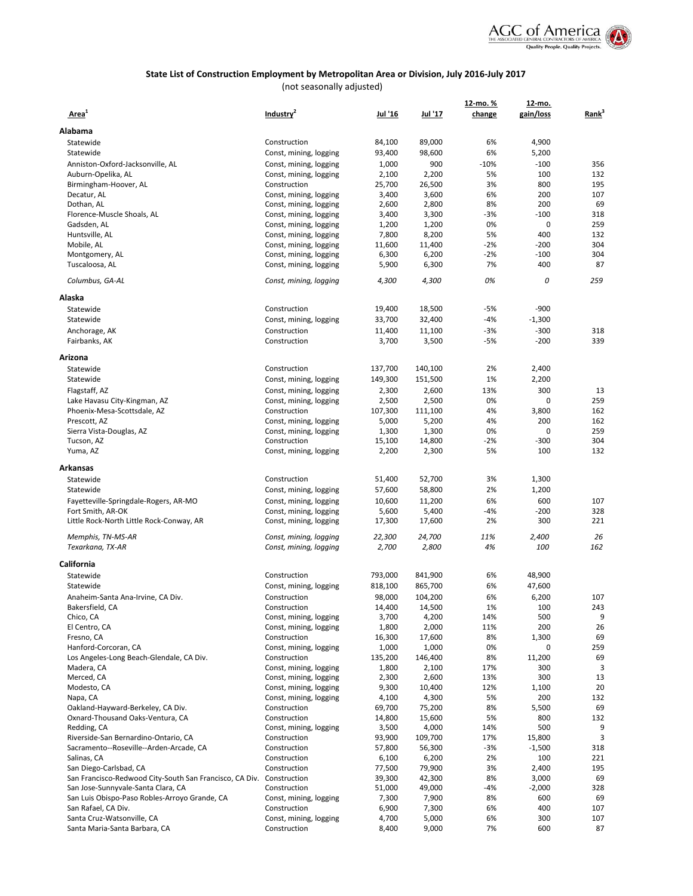

| Area <sup>1</sup>                                                    | Industry <sup>2</sup>                            | Jul '16         | <u>Jul '17</u>  | 12-mo. %<br>change | 12-mo.<br>gain/loss | Rank <sup>3</sup> |
|----------------------------------------------------------------------|--------------------------------------------------|-----------------|-----------------|--------------------|---------------------|-------------------|
| Alabama                                                              |                                                  |                 |                 |                    |                     |                   |
|                                                                      |                                                  |                 |                 |                    |                     |                   |
| Statewide                                                            | Construction                                     | 84,100          | 89,000          | 6%                 | 4,900               |                   |
| Statewide                                                            | Const, mining, logging                           | 93,400          | 98,600          | 6%                 | 5,200               |                   |
| Anniston-Oxford-Jacksonville, AL                                     | Const, mining, logging                           | 1,000           | 900<br>2,200    | $-10%$<br>5%       | $-100$<br>100       | 356<br>132        |
| Auburn-Opelika, AL<br>Birmingham-Hoover, AL                          | Const, mining, logging<br>Construction           | 2,100<br>25,700 | 26,500          | 3%                 | 800                 | 195               |
| Decatur, AL                                                          | Const, mining, logging                           | 3,400           | 3,600           | 6%                 | 200                 | 107               |
| Dothan, AL                                                           | Const, mining, logging                           | 2,600           | 2,800           | 8%                 | 200                 | 69                |
| Florence-Muscle Shoals, AL                                           | Const, mining, logging                           | 3,400           | 3,300           | -3%                | $-100$              | 318               |
| Gadsden, AL                                                          | Const, mining, logging                           | 1,200           | 1,200           | 0%                 | 0                   | 259               |
| Huntsville, AL                                                       | Const, mining, logging                           | 7,800           | 8,200           | 5%                 | 400                 | 132               |
| Mobile, AL                                                           | Const, mining, logging                           | 11,600          | 11,400          | -2%                | -200                | 304               |
| Montgomery, AL                                                       | Const, mining, logging                           | 6,300           | 6,200           | $-2%$              | $-100$              | 304               |
| Tuscaloosa, AL                                                       | Const, mining, logging                           | 5,900           | 6,300           | 7%                 | 400                 | 87                |
| Columbus, GA-AL                                                      | Const, mining, logging                           | 4,300           | 4,300           | 0%                 | 0                   | 259               |
| Alaska                                                               |                                                  |                 |                 |                    |                     |                   |
| Statewide                                                            | Construction                                     | 19,400          | 18,500          | $-5%$              | $-900$              |                   |
| Statewide                                                            | Const, mining, logging                           | 33,700          | 32,400          | -4%                | $-1,300$            |                   |
| Anchorage, AK                                                        | Construction                                     | 11,400          | 11,100          | $-3%$              | $-300$              | 318               |
| Fairbanks, AK                                                        | Construction                                     | 3,700           | 3,500           | $-5%$              | $-200$              | 339               |
| Arizona                                                              |                                                  |                 |                 |                    |                     |                   |
| Statewide                                                            | Construction                                     | 137,700         | 140,100         | 2%                 | 2,400               |                   |
| Statewide                                                            | Const, mining, logging                           | 149,300         | 151,500         | 1%                 | 2,200               |                   |
| Flagstaff, AZ                                                        | Const, mining, logging                           | 2,300           | 2,600           | 13%                | 300                 | 13                |
| Lake Havasu City-Kingman, AZ                                         | Const, mining, logging                           | 2,500           | 2,500           | 0%                 | 0                   | 259               |
| Phoenix-Mesa-Scottsdale, AZ                                          | Construction                                     | 107,300         | 111,100         | 4%                 | 3,800               | 162               |
| Prescott, AZ                                                         | Const, mining, logging                           | 5,000           | 5,200           | 4%                 | 200                 | 162               |
| Sierra Vista-Douglas, AZ                                             | Const, mining, logging                           | 1,300           | 1,300           | 0%                 | 0                   | 259               |
| Tucson, AZ                                                           | Construction                                     | 15,100          | 14,800          | $-2%$              | $-300$              | 304               |
| Yuma, AZ                                                             | Const, mining, logging                           | 2,200           | 2,300           | 5%                 | 100                 | 132               |
| Arkansas                                                             |                                                  |                 |                 |                    |                     |                   |
| Statewide                                                            | Construction                                     | 51,400          | 52,700          | 3%                 | 1,300               |                   |
| Statewide                                                            | Const, mining, logging                           | 57,600          | 58,800          | 2%                 | 1,200               |                   |
| Fayetteville-Springdale-Rogers, AR-MO                                | Const, mining, logging                           | 10,600          | 11,200          | 6%                 | 600                 | 107               |
| Fort Smith, AR-OK                                                    | Const, mining, logging                           | 5,600           | 5,400           | $-4%$              | $-200$              | 328               |
| Little Rock-North Little Rock-Conway, AR                             | Const, mining, logging                           | 17,300          | 17,600          | 2%                 | 300                 | 221               |
| Memphis, TN-MS-AR<br>Texarkana, TX-AR                                | Const, mining, logging                           | 22,300          | 24,700<br>2,800 | 11%<br>4%          | 2,400<br>100        | 26<br>162         |
|                                                                      | Const, mining, logging                           | 2,700           |                 |                    |                     |                   |
| California                                                           |                                                  |                 |                 |                    |                     |                   |
| Statewide                                                            | Construction                                     | 793,000         | 841,900         | 6%                 | 48,900              |                   |
| Statewide                                                            | Const, mining, logging                           | 818,100         | 865,700         | 6%                 | 47,600              |                   |
| Anaheim-Santa Ana-Irvine, CA Div.                                    | Construction                                     | 98,000          | 104,200         | 6%                 | 6,200               | 107               |
| Bakersfield, CA<br>Chico, CA                                         | Construction                                     | 14,400          | 14,500          | 1%                 | 100                 | 243               |
| El Centro, CA                                                        | Const, mining, logging<br>Const, mining, logging | 3,700<br>1,800  | 4,200<br>2,000  | 14%<br>11%         | 500<br>200          | 9<br>26           |
| Fresno, CA                                                           | Construction                                     | 16,300          | 17,600          | 8%                 | 1,300               | 69                |
| Hanford-Corcoran, CA                                                 | Const, mining, logging                           | 1,000           | 1,000           | 0%                 | 0                   | 259               |
| Los Angeles-Long Beach-Glendale, CA Div.                             | Construction                                     | 135,200         | 146,400         | 8%                 | 11,200              | 69                |
| Madera, CA                                                           | Const, mining, logging                           | 1,800           | 2,100           | 17%                | 300                 | 3                 |
| Merced, CA                                                           | Const, mining, logging                           | 2,300           | 2,600           | 13%                | 300                 | 13                |
| Modesto, CA                                                          | Const, mining, logging                           | 9,300           | 10,400          | 12%                | 1,100               | 20                |
| Napa, CA                                                             | Const, mining, logging                           | 4,100           | 4,300           | 5%                 | 200                 | 132               |
| Oakland-Hayward-Berkeley, CA Div.                                    | Construction                                     | 69,700          | 75,200          | 8%                 | 5,500               | 69                |
| Oxnard-Thousand Oaks-Ventura, CA                                     | Construction                                     | 14,800          | 15,600          | 5%                 | 800                 | 132               |
| Redding, CA                                                          | Const, mining, logging                           | 3,500           | 4,000           | 14%                | 500                 | 9                 |
| Riverside-San Bernardino-Ontario, CA                                 | Construction                                     | 93,900          | 109,700         | 17%                | 15,800              | 3                 |
| Sacramento--Roseville--Arden-Arcade, CA                              | Construction                                     | 57,800          | 56,300          | $-3%$              | $-1,500$            | 318               |
| Salinas, CA                                                          | Construction                                     | 6,100           | 6,200           | 2%                 | 100                 | 221               |
| San Diego-Carlsbad, CA                                               | Construction                                     | 77,500          | 79,900          | 3%                 | 2,400               | 195               |
| San Francisco-Redwood City-South San Francisco, CA Div. Construction |                                                  | 39,300          | 42,300          | 8%                 | 3,000               | 69                |
| San Jose-Sunnyvale-Santa Clara, CA                                   | Construction                                     | 51,000          | 49,000          | -4%                | $-2,000$            | 328               |
| San Luis Obispo-Paso Robles-Arroyo Grande, CA<br>San Rafael, CA Div. | Const, mining, logging<br>Construction           | 7,300<br>6,900  | 7,900<br>7,300  | 8%<br>6%           | 600<br>400          | 69<br>107         |
| Santa Cruz-Watsonville, CA                                           | Const, mining, logging                           | 4,700           | 5,000           | 6%                 | 300                 | 107               |
| Santa Maria-Santa Barbara, CA                                        | Construction                                     | 8,400           | 9,000           | 7%                 | 600                 | 87                |
|                                                                      |                                                  |                 |                 |                    |                     |                   |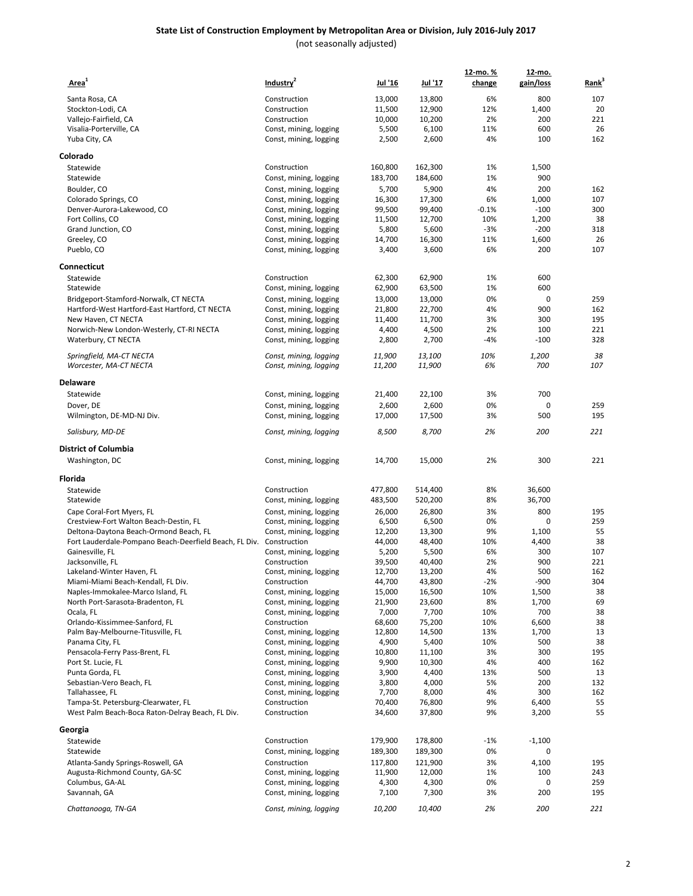| Area <sup>1</sup>                                      | Industry <sup>2</sup>                            | Jul '16          | <u>Jul '17</u>   | 12-mo. %<br>change | 12-mo.<br>gain/loss | Rank <sup>3</sup> |
|--------------------------------------------------------|--------------------------------------------------|------------------|------------------|--------------------|---------------------|-------------------|
|                                                        |                                                  |                  |                  |                    |                     |                   |
| Santa Rosa, CA                                         | Construction                                     | 13,000           | 13,800           | 6%                 | 800                 | 107               |
| Stockton-Lodi, CA<br>Vallejo-Fairfield, CA             | Construction<br>Construction                     | 11,500<br>10,000 | 12,900<br>10,200 | 12%<br>2%          | 1,400<br>200        | 20<br>221         |
| Visalia-Porterville, CA                                |                                                  | 5,500            | 6,100            | 11%                | 600                 | 26                |
| Yuba City, CA                                          | Const, mining, logging<br>Const, mining, logging | 2,500            | 2,600            | 4%                 | 100                 | 162               |
|                                                        |                                                  |                  |                  |                    |                     |                   |
| Colorado<br>Statewide                                  | Construction                                     | 160,800          | 162,300          | 1%                 | 1,500               |                   |
| Statewide                                              |                                                  |                  |                  | 1%                 | 900                 |                   |
|                                                        | Const, mining, logging                           | 183,700          | 184,600          |                    |                     |                   |
| Boulder, CO                                            | Const, mining, logging                           | 5,700            | 5,900            | 4%<br>6%           | 200<br>1,000        | 162<br>107        |
| Colorado Springs, CO<br>Denver-Aurora-Lakewood, CO     | Const, mining, logging<br>Const, mining, logging | 16,300<br>99,500 | 17,300<br>99,400 | $-0.1%$            | $-100$              | 300               |
| Fort Collins, CO                                       | Const, mining, logging                           | 11,500           | 12,700           | 10%                | 1,200               | 38                |
| Grand Junction, CO                                     | Const, mining, logging                           | 5,800            | 5,600            | $-3%$              | $-200$              | 318               |
| Greeley, CO                                            | Const, mining, logging                           | 14,700           | 16,300           | 11%                | 1,600               | 26                |
| Pueblo, CO                                             | Const, mining, logging                           | 3,400            | 3,600            | 6%                 | 200                 | 107               |
| Connecticut                                            |                                                  |                  |                  |                    |                     |                   |
| Statewide                                              | Construction                                     | 62,300           | 62,900           | 1%                 | 600                 |                   |
| Statewide                                              | Const, mining, logging                           | 62,900           | 63,500           | 1%                 | 600                 |                   |
| Bridgeport-Stamford-Norwalk, CT NECTA                  | Const, mining, logging                           | 13,000           | 13,000           | 0%                 | 0                   | 259               |
| Hartford-West Hartford-East Hartford, CT NECTA         | Const, mining, logging                           | 21,800           | 22,700           | 4%                 | 900                 | 162               |
| New Haven, CT NECTA                                    | Const, mining, logging                           | 11,400           | 11,700           | 3%                 | 300                 | 195               |
| Norwich-New London-Westerly, CT-RI NECTA               | Const, mining, logging                           | 4,400            | 4,500            | 2%                 | 100                 | 221               |
| Waterbury, CT NECTA                                    | Const, mining, logging                           | 2,800            | 2,700            | -4%                | $-100$              | 328               |
| Springfield, MA-CT NECTA                               | Const, mining, logging                           | 11,900           | 13,100           | 10%                | 1,200               | 38                |
| Worcester, MA-CT NECTA                                 | Const, mining, logging                           | 11,200           | 11,900           | 6%                 | 700                 | 107               |
| Delaware                                               |                                                  |                  |                  |                    |                     |                   |
| Statewide                                              | Const, mining, logging                           | 21,400           | 22,100           | 3%                 | 700                 |                   |
| Dover, DE                                              | Const, mining, logging                           | 2,600            | 2,600            | 0%                 | 0                   | 259               |
| Wilmington, DE-MD-NJ Div.                              | Const, mining, logging                           | 17,000           | 17,500           | 3%                 | 500                 | 195               |
| Salisbury, MD-DE                                       | Const, mining, logging                           | 8,500            | 8,700            | 2%                 | 200                 | 221               |
| District of Columbia                                   |                                                  |                  |                  |                    |                     |                   |
| Washington, DC                                         | Const, mining, logging                           | 14,700           | 15,000           | 2%                 | 300                 | 221               |
| Florida                                                |                                                  |                  |                  |                    |                     |                   |
| Statewide                                              | Construction                                     | 477,800          | 514,400          | 8%                 | 36,600              |                   |
| Statewide                                              | Const, mining, logging                           | 483,500          | 520,200          | 8%                 | 36,700              |                   |
| Cape Coral-Fort Myers, FL                              | Const, mining, logging                           | 26,000           | 26,800           | 3%                 | 800                 | 195               |
| Crestview-Fort Walton Beach-Destin, FL                 | Const, mining, logging                           | 6,500            | 6,500            | 0%                 | $\mathbf 0$         | 259               |
| Deltona-Daytona Beach-Ormond Beach, FL                 | Const, mining, logging                           | 12,200           | 13,300           | 9%                 | 1,100               | 55                |
| Fort Lauderdale-Pompano Beach-Deerfield Beach, FL Div. | Construction                                     | 44,000           | 48,400           | 10%                | 4,400               | 38                |
| Gainesville, FL                                        | Const, mining, logging                           | 5,200            | 5,500            | 6%                 | 300                 | 107               |
| Jacksonville, FL                                       | Construction                                     | 39,500           | 40,400           | 2%                 | 900                 | 221               |
| Lakeland-Winter Haven, FL                              | Const, mining, logging                           | 12,700           | 13,200           | 4%                 | 500                 | 162               |
| Miami-Miami Beach-Kendall, FL Div.                     | Construction                                     | 44,700           | 43,800           | $-2%$              | $-900$              | 304               |
| Naples-Immokalee-Marco Island, FL                      | Const, mining, logging                           | 15,000           | 16,500           | 10%                | 1,500               | 38                |
| North Port-Sarasota-Bradenton, FL                      | Const, mining, logging                           | 21,900           | 23,600           | 8%                 | 1,700               | 69                |
| Ocala, FL                                              | Const, mining, logging                           | 7,000            | 7,700            | 10%                | 700                 | 38                |
| Orlando-Kissimmee-Sanford, FL                          | Construction                                     | 68,600           | 75,200           | 10%                | 6,600               | 38                |
| Palm Bay-Melbourne-Titusville, FL                      | Const, mining, logging                           | 12,800<br>4,900  | 14,500<br>5,400  | 13%<br>10%         | 1,700<br>500        | 13<br>38          |
| Panama City, FL<br>Pensacola-Ferry Pass-Brent, FL      | Const, mining, logging<br>Const, mining, logging | 10,800           | 11,100           | 3%                 | 300                 | 195               |
| Port St. Lucie, FL                                     | Const, mining, logging                           | 9,900            | 10,300           | 4%                 | 400                 | 162               |
| Punta Gorda, FL                                        | Const, mining, logging                           | 3,900            | 4,400            | 13%                | 500                 | 13                |
| Sebastian-Vero Beach, FL                               | Const, mining, logging                           | 3,800            | 4,000            | 5%                 | 200                 | 132               |
| Tallahassee, FL                                        | Const, mining, logging                           | 7,700            | 8,000            | 4%                 | 300                 | 162               |
| Tampa-St. Petersburg-Clearwater, FL                    | Construction                                     | 70,400           | 76,800           | 9%                 | 6,400               | 55                |
| West Palm Beach-Boca Raton-Delray Beach, FL Div.       | Construction                                     | 34,600           | 37,800           | 9%                 | 3,200               | 55                |
| Georgia                                                |                                                  |                  |                  |                    |                     |                   |
| Statewide                                              | Construction                                     | 179,900          | 178,800          | $-1%$              | $-1,100$            |                   |
| Statewide                                              | Const, mining, logging                           | 189,300          | 189,300          | 0%                 | 0                   |                   |
| Atlanta-Sandy Springs-Roswell, GA                      | Construction                                     | 117,800          | 121,900          | 3%                 | 4,100               | 195               |
| Augusta-Richmond County, GA-SC                         | Const, mining, logging                           | 11,900           | 12,000           | 1%                 | 100                 | 243               |
| Columbus, GA-AL                                        | Const, mining, logging                           | 4,300            | 4,300            | 0%                 | 0                   | 259               |
| Savannah, GA                                           | Const, mining, logging                           | 7,100            | 7,300            | 3%                 | 200                 | 195               |
| Chattanooga, TN-GA                                     | Const, mining, logging                           | 10,200           | 10,400           | 2%                 | 200                 | 221               |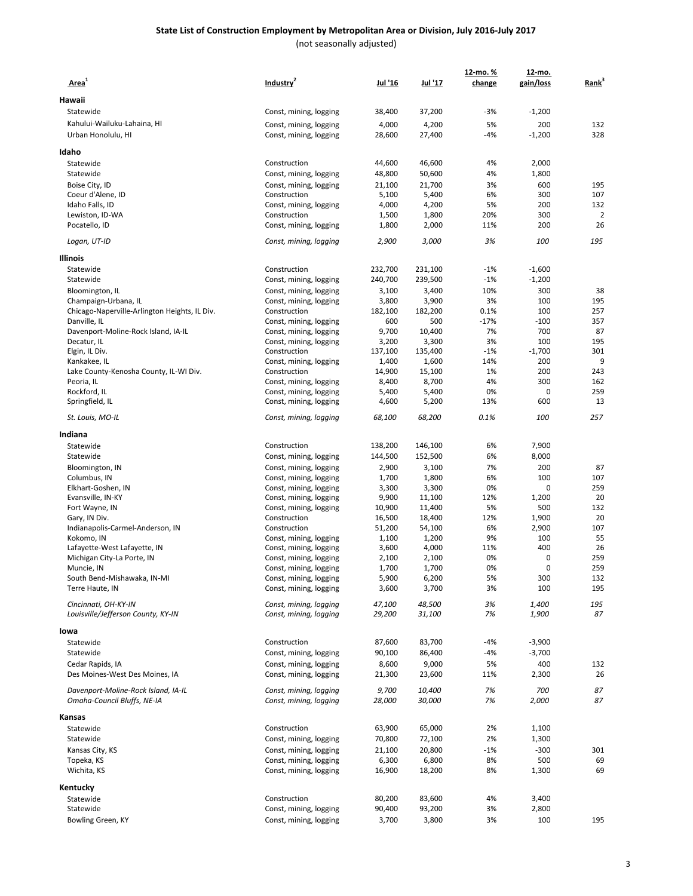#### **State List of Construction Employment by Metropolitan Area or Division, July 2016-July 2017** (not seasonally adjusted)

| Area <sup>-</sup>                                  | Industry <sup>2</sup>                            | Jul '16          | <u>Jul '17</u>   | 12-mo. %<br>change | 12-mo.<br>gain/loss | Rank <sup>3</sup> |
|----------------------------------------------------|--------------------------------------------------|------------------|------------------|--------------------|---------------------|-------------------|
| Hawaii                                             |                                                  |                  |                  |                    |                     |                   |
| Statewide                                          | Const, mining, logging                           | 38,400           | 37,200           | -3%                | $-1,200$            |                   |
| Kahului-Wailuku-Lahaina, HI                        |                                                  |                  |                  |                    |                     |                   |
| Urban Honolulu, HI                                 | Const, mining, logging<br>Const, mining, logging | 4,000<br>28,600  | 4,200<br>27,400  | 5%<br>-4%          | 200<br>$-1,200$     | 132<br>328        |
|                                                    |                                                  |                  |                  |                    |                     |                   |
| Idaho                                              |                                                  |                  |                  |                    |                     |                   |
| Statewide                                          | Construction                                     | 44,600           | 46,600           | 4%                 | 2,000               |                   |
| Statewide                                          | Const, mining, logging                           | 48,800           | 50,600           | 4%                 | 1,800               |                   |
| Boise City, ID                                     | Const, mining, logging                           | 21,100           | 21,700           | 3%                 | 600                 | 195               |
| Coeur d'Alene, ID                                  | Construction                                     | 5,100            | 5,400            | 6%                 | 300                 | 107               |
| Idaho Falls, ID<br>Lewiston, ID-WA                 | Const, mining, logging<br>Construction           | 4,000<br>1,500   | 4,200<br>1,800   | 5%<br>20%          | 200<br>300          | 132<br>2          |
| Pocatello, ID                                      | Const, mining, logging                           | 1,800            | 2,000            | 11%                | 200                 | 26                |
|                                                    |                                                  |                  |                  |                    |                     |                   |
| Logan, UT-ID                                       | Const, mining, logging                           | 2,900            | 3,000            | 3%                 | 100                 | 195               |
| <b>Illinois</b>                                    |                                                  |                  |                  |                    |                     |                   |
| Statewide                                          | Construction                                     | 232,700          | 231,100          | $-1%$              | $-1,600$            |                   |
| Statewide                                          | Const, mining, logging                           | 240,700          | 239,500          | $-1%$              | $-1,200$            |                   |
| Bloomington, IL                                    | Const, mining, logging                           | 3,100            | 3,400            | 10%                | 300                 | 38                |
| Champaign-Urbana, IL                               | Const, mining, logging                           | 3,800            | 3,900            | 3%                 | 100                 | 195               |
| Chicago-Naperville-Arlington Heights, IL Div.      | Construction                                     | 182,100          | 182,200          | 0.1%               | 100                 | 257               |
| Danville, IL                                       | Const, mining, logging                           | 600              | 500              | -17%               | $-100$              | 357               |
| Davenport-Moline-Rock Island, IA-IL                | Const, mining, logging                           | 9,700            | 10,400           | 7%                 | 700                 | 87                |
| Decatur, IL                                        | Const, mining, logging<br>Construction           | 3,200<br>137,100 | 3,300<br>135,400 | 3%<br>$-1%$        | 100<br>$-1,700$     | 195<br>301        |
| Elgin, IL Div.<br>Kankakee, IL                     | Const, mining, logging                           | 1,400            | 1,600            | 14%                | 200                 | 9                 |
| Lake County-Kenosha County, IL-WI Div.             | Construction                                     | 14,900           | 15,100           | 1%                 | 200                 | 243               |
| Peoria, IL                                         | Const, mining, logging                           | 8,400            | 8,700            | 4%                 | 300                 | 162               |
| Rockford, IL                                       | Const, mining, logging                           | 5,400            | 5,400            | 0%                 | 0                   | 259               |
| Springfield, IL                                    | Const, mining, logging                           | 4,600            | 5,200            | 13%                | 600                 | 13                |
| St. Louis, MO-IL                                   | Const, mining, logging                           | 68,100           | 68,200           | 0.1%               | 100                 | 257               |
| Indiana                                            |                                                  |                  |                  |                    |                     |                   |
| Statewide                                          | Construction                                     | 138,200          | 146,100          | 6%                 | 7,900               |                   |
| Statewide                                          | Const, mining, logging                           | 144,500          | 152,500          | 6%                 | 8,000               |                   |
| Bloomington, IN                                    | Const, mining, logging                           | 2,900            | 3,100            | 7%                 | 200                 | 87                |
| Columbus, IN                                       | Const, mining, logging                           | 1,700            | 1,800            | 6%                 | 100                 | 107               |
| Elkhart-Goshen, IN                                 | Const, mining, logging                           | 3,300            | 3,300            | 0%                 | 0                   | 259               |
| Evansville, IN-KY                                  | Const, mining, logging                           | 9,900            | 11,100           | 12%                | 1,200               | 20                |
| Fort Wayne, IN                                     | Const, mining, logging                           | 10,900           | 11,400           | 5%                 | 500                 | 132               |
| Gary, IN Div.                                      | Construction                                     | 16,500           | 18,400           | 12%                | 1,900               | 20                |
| Indianapolis-Carmel-Anderson, IN<br>Kokomo, IN     | Construction<br>Const, mining, logging           | 51,200<br>1,100  | 54,100<br>1,200  | 6%<br>9%           | 2,900<br>100        | 107<br>55         |
| Lafayette-West Lafayette, IN                       | Const, mining, logging                           | 3,600            | 4,000            | 11%                | 400                 | 26                |
| Michigan City-La Porte, IN                         | Const, mining, logging                           | 2,100            | 2,100            | 0%                 | 0                   | 259               |
| Muncie, IN                                         | Const, mining, logging                           | 1,700            | 1,700            | 0%                 | $\mathbf 0$         | 259               |
| South Bend-Mishawaka, IN-MI                        | Const, mining, logging                           | 5,900            | 6,200            | 5%                 | 300                 | 132               |
| Terre Haute, IN                                    | Const, mining, logging                           | 3,600            | 3,700            | 3%                 | 100                 | 195               |
| Cincinnati, OH-KY-IN                               | Const, mining, logging                           | 47,100           | 48,500           | 3%                 | <i>1,400</i>        | 195               |
| Louisville/Jefferson County, KY-IN                 | Const, mining, logging                           | 29,200           | 31,100           | 7%                 | <i>1,900</i>        | 87                |
|                                                    |                                                  |                  |                  |                    |                     |                   |
| lowa                                               |                                                  |                  |                  |                    |                     |                   |
| Statewide                                          | Construction                                     | 87,600           | 83,700           | -4%                | $-3,900$            |                   |
| Statewide                                          | Const, mining, logging                           | 90,100           | 86,400           | -4%                | $-3,700$            |                   |
| Cedar Rapids, IA<br>Des Moines-West Des Moines, IA | Const, mining, logging                           | 8,600            | 9,000            | 5%                 | 400                 | 132<br>26         |
|                                                    | Const, mining, logging                           | 21,300           | 23,600           | 11%                | 2,300               |                   |
| Davenport-Moline-Rock Island, IA-IL                | Const, mining, logging                           | 9,700            | 10,400           | 7%                 | 700                 | 87                |
| Omaha-Council Bluffs, NE-IA                        | Const, mining, logging                           | 28,000           | 30,000           | 7%                 | 2,000               | 87                |
| Kansas                                             |                                                  |                  |                  |                    |                     |                   |
| Statewide                                          | Construction                                     | 63,900           | 65,000           | 2%                 | 1,100               |                   |
| Statewide                                          | Const, mining, logging                           | 70,800           | 72,100           | 2%                 | 1,300               |                   |
| Kansas City, KS                                    | Const, mining, logging                           | 21,100           | 20,800           | $-1%$              | $-300$              | 301               |
| Topeka, KS                                         | Const, mining, logging                           | 6,300            | 6,800            | 8%                 | 500                 | 69                |
| Wichita, KS                                        | Const, mining, logging                           | 16,900           | 18,200           | 8%                 | 1,300               | 69                |
|                                                    |                                                  |                  |                  |                    |                     |                   |
| Kentucky                                           | Construction                                     | 80,200           | 83,600           | 4%                 |                     |                   |
| Statewide<br>Statewide                             | Const, mining, logging                           | 90,400           | 93,200           | 3%                 | 3,400<br>2,800      |                   |
| Bowling Green, KY                                  | Const, mining, logging                           | 3,700            | 3,800            | 3%                 | 100                 | 195               |
|                                                    |                                                  |                  |                  |                    |                     |                   |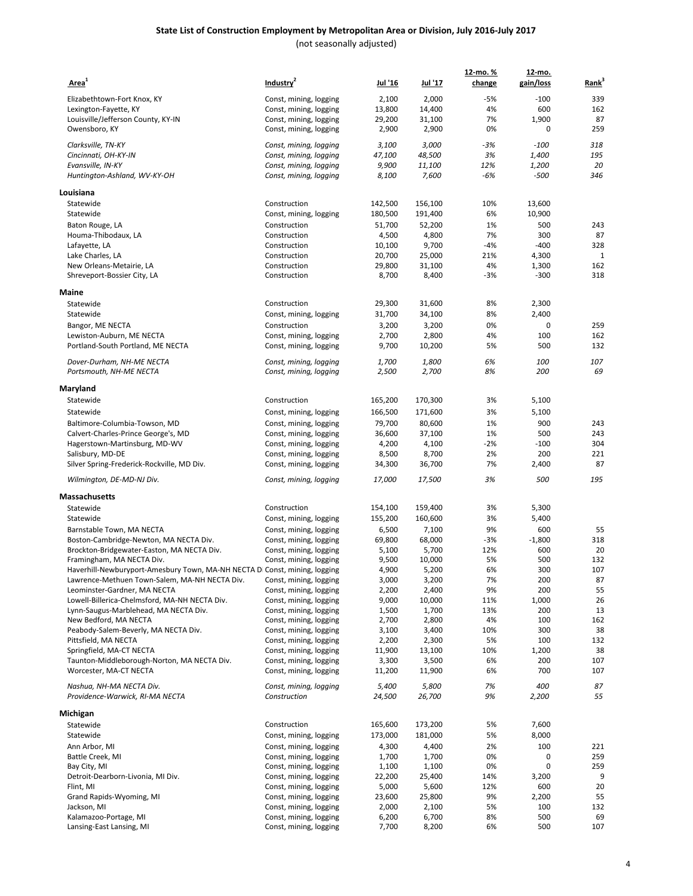| Area <sup>1</sup>                                                          | Industry <sup>2</sup>                  | Jul '16         | Jul '17         | 12-mo. %<br>change | <u>12-mo.</u><br>gain/loss | Rank <sup>3</sup> |
|----------------------------------------------------------------------------|----------------------------------------|-----------------|-----------------|--------------------|----------------------------|-------------------|
| Elizabethtown-Fort Knox, KY                                                | Const, mining, logging                 | 2,100           | 2,000           | $-5%$              | $-100$                     | 339               |
| Lexington-Fayette, KY                                                      | Const, mining, logging                 | 13,800          | 14,400          | 4%                 | 600                        | 162               |
| Louisville/Jefferson County, KY-IN                                         | Const, mining, logging                 | 29,200          | 31,100          | 7%                 | 1,900                      | 87                |
| Owensboro, KY                                                              | Const, mining, logging                 | 2,900           | 2,900           | 0%                 | 0                          | 259               |
| Clarksville, TN-KY                                                         | Const, mining, logging                 | 3,100           | 3,000           | -3%                | $-100$                     | 318               |
| Cincinnati, OH-KY-IN                                                       | Const, mining, logging                 | 47,100          | 48,500          | 3%                 | 1,400                      | 195               |
| Evansville, IN-KY                                                          | Const, mining, logging                 | 9,900           | 11,100          | 12%                | 1,200                      | 20                |
| Huntington-Ashland, WV-KY-OH                                               | Const, mining, logging                 | 8,100           | 7,600           | -6%                | $-500$                     | 346               |
| Louisiana                                                                  |                                        |                 |                 |                    |                            |                   |
| Statewide                                                                  | Construction                           | 142,500         | 156,100         | 10%                | 13,600                     |                   |
| Statewide                                                                  | Const, mining, logging                 | 180,500         | 191,400         | 6%                 | 10,900                     |                   |
| Baton Rouge, LA                                                            | Construction                           | 51,700          | 52,200          | 1%                 | 500                        | 243               |
| Houma-Thibodaux, LA                                                        | Construction                           | 4,500           | 4,800           | 7%                 | 300                        | 87                |
| Lafayette, LA                                                              | Construction                           | 10,100          | 9,700           | -4%                | $-400$                     | 328               |
| Lake Charles, LA                                                           | Construction                           | 20,700          | 25,000          | 21%                | 4,300                      | $\mathbf{1}$      |
| New Orleans-Metairie, LA                                                   | Construction                           | 29,800          | 31,100          | 4%                 | 1,300                      | 162               |
| Shreveport-Bossier City, LA                                                | Construction                           | 8,700           | 8,400           | $-3%$              | $-300$                     | 318               |
| Maine                                                                      |                                        |                 |                 |                    |                            |                   |
| Statewide                                                                  | Construction                           | 29,300          | 31,600          | 8%                 | 2,300                      |                   |
| Statewide                                                                  | Const, mining, logging                 | 31,700          | 34,100          | 8%                 | 2,400                      |                   |
| Bangor, ME NECTA                                                           | Construction                           | 3,200           | 3,200           | 0%                 | 0                          | 259               |
| Lewiston-Auburn, ME NECTA                                                  | Const, mining, logging                 | 2,700           | 2,800           | 4%                 | 100                        | 162               |
| Portland-South Portland, ME NECTA                                          | Const, mining, logging                 | 9,700           | 10,200          | 5%                 | 500                        | 132               |
| Dover-Durham, NH-ME NECTA                                                  | Const, mining, logging                 | 1,700           | 1,800           | 6%                 | 100                        | 107               |
| Portsmouth, NH-ME NECTA                                                    | Const, mining, logging                 | 2,500           | 2,700           | 8%                 | 200                        | 69                |
| Maryland                                                                   |                                        |                 |                 |                    |                            |                   |
| Statewide                                                                  | Construction                           | 165,200         | 170,300         | 3%                 | 5,100                      |                   |
| Statewide                                                                  | Const, mining, logging                 | 166,500         | 171,600         | 3%                 | 5,100                      |                   |
| Baltimore-Columbia-Towson, MD                                              | Const, mining, logging                 | 79,700          | 80,600          | 1%                 | 900                        | 243               |
| Calvert-Charles-Prince George's, MD                                        | Const, mining, logging                 | 36,600          | 37,100          | 1%                 | 500                        | 243               |
| Hagerstown-Martinsburg, MD-WV                                              | Const, mining, logging                 | 4,200           | 4,100           | $-2%$              | $-100$                     | 304               |
| Salisbury, MD-DE                                                           | Const, mining, logging                 | 8,500           | 8,700           | 2%                 | 200                        | 221               |
| Silver Spring-Frederick-Rockville, MD Div.                                 | Const, mining, logging                 | 34,300          | 36,700          | 7%                 | 2,400                      | 87                |
| Wilmington, DE-MD-NJ Div.                                                  | Const, mining, logging                 | 17,000          | 17,500          | 3%                 | 500                        | 195               |
| Massachusetts                                                              |                                        |                 |                 |                    |                            |                   |
| Statewide                                                                  | Construction                           | 154,100         | 159,400         | 3%                 | 5,300                      |                   |
| Statewide                                                                  | Const, mining, logging                 | 155,200         | 160,600         | 3%                 | 5,400                      |                   |
| Barnstable Town, MA NECTA                                                  | Const, mining, logging                 | 6,500           | 7,100           | 9%                 | 600                        | 55                |
| Boston-Cambridge-Newton, MA NECTA Div.                                     | Const, mining, logging                 | 69,800          | 68,000          | $-3%$              | $-1,800$                   | 318               |
| Brockton-Bridgewater-Easton, MA NECTA Div.                                 | Const, mining, logging                 | 5,100           | 5,700           | 12%                | 600                        | 20                |
| Framingham, MA NECTA Div.                                                  | Const, mining, logging                 | 9,500           | 10,000          | 5%                 | 500                        | 132               |
| Haverhill-Newburyport-Amesbury Town, MA-NH NECTA Di Const, mining, logging |                                        | 4,900           | 5,200           | 6%                 | 300                        | 107               |
| Lawrence-Methuen Town-Salem, MA-NH NECTA Div.                              | Const, mining, logging                 | 3,000           | 3,200           | 7%                 | 200                        | 87                |
| Leominster-Gardner, MA NECTA                                               | Const, mining, logging                 | 2,200           | 2,400           | 9%                 | 200                        | 55                |
| Lowell-Billerica-Chelmsford, MA-NH NECTA Div.                              | Const, mining, logging                 | 9,000           | 10,000          | 11%                | 1,000                      | 26                |
| Lynn-Saugus-Marblehead, MA NECTA Div.                                      | Const, mining, logging                 | 1,500           | 1,700           | 13%                | 200                        | 13                |
| New Bedford, MA NECTA                                                      | Const, mining, logging                 | 2,700           | 2,800           | 4%                 | 100                        | 162               |
| Peabody-Salem-Beverly, MA NECTA Div.                                       | Const, mining, logging                 | 3,100           | 3,400           | 10%                | 300                        | 38                |
| Pittsfield, MA NECTA                                                       | Const, mining, logging                 | 2,200           | 2,300           | 5%                 | 100                        | 132               |
| Springfield, MA-CT NECTA                                                   | Const, mining, logging                 | 11,900          | 13,100          | 10%                | 1,200                      | 38                |
| Taunton-Middleborough-Norton, MA NECTA Div.                                | Const, mining, logging                 | 3,300           | 3,500           | 6%                 | 200                        | 107               |
| Worcester, MA-CT NECTA                                                     | Const, mining, logging                 | 11,200          | 11,900          | 6%                 | 700                        | 107               |
| Nashua, NH-MA NECTA Div.<br>Providence-Warwick, RI-MA NECTA                | Const, mining, logging<br>Construction | 5,400<br>24,500 | 5,800<br>26,700 | 7%<br>9%           | 400<br>2,200               | 87<br>55          |
| Michigan                                                                   |                                        |                 |                 |                    |                            |                   |
| Statewide                                                                  | Construction                           | 165,600         | 173,200         | 5%                 | 7,600                      |                   |
| Statewide                                                                  | Const, mining, logging                 | 173,000         | 181,000         | 5%                 | 8,000                      |                   |
| Ann Arbor, MI                                                              | Const, mining, logging                 | 4,300           | 4,400           | 2%                 | 100                        | 221               |
| Battle Creek, MI                                                           | Const, mining, logging                 | 1,700           | 1,700           | 0%                 | 0                          | 259               |
| Bay City, MI                                                               | Const, mining, logging                 | 1,100           | 1,100           | 0%                 | 0                          | 259               |
| Detroit-Dearborn-Livonia, MI Div.                                          | Const, mining, logging                 | 22,200          | 25,400          | 14%                | 3,200                      | 9                 |
| Flint, MI                                                                  | Const, mining, logging                 | 5,000           | 5,600           | 12%                | 600                        | 20                |
| Grand Rapids-Wyoming, MI                                                   | Const, mining, logging                 | 23,600          | 25,800          | 9%                 | 2,200                      | 55                |
| Jackson, MI                                                                | Const, mining, logging                 | 2,000           | 2,100           | 5%                 | 100                        | 132               |
| Kalamazoo-Portage, MI                                                      | Const, mining, logging                 | 6,200           | 6,700           | 8%                 | 500                        | 69                |
| Lansing-East Lansing, MI                                                   | Const, mining, logging                 | 7,700           | 8,200           | 6%                 | 500                        | 107               |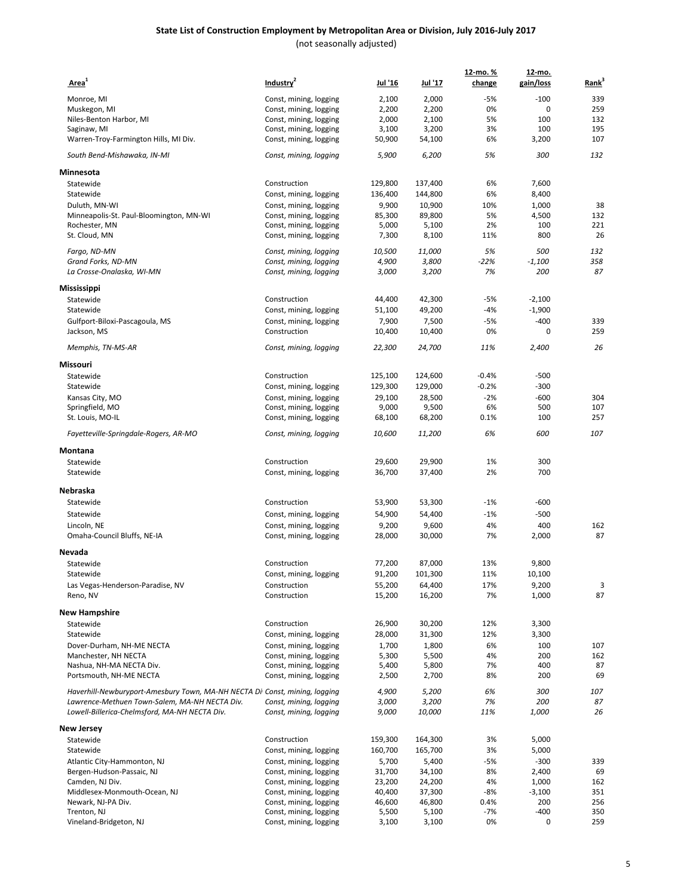| Area <sup>1</sup>                                                          | Industry <sup>2</sup>                            | Jul '16          | <u>Jul '17</u>   | 12-mo.%<br>change | 12-mo.<br>gain/loss | $Rank3$ |
|----------------------------------------------------------------------------|--------------------------------------------------|------------------|------------------|-------------------|---------------------|---------|
| Monroe, MI                                                                 | Const, mining, logging                           | 2,100            | 2,000            | $-5%$             | $-100$              | 339     |
| Muskegon, MI                                                               |                                                  | 2,200            | 2,200            | 0%                | 0                   | 259     |
| Niles-Benton Harbor, MI                                                    | Const, mining, logging<br>Const, mining, logging | 2,000            | 2,100            | 5%                | 100                 | 132     |
| Saginaw, MI                                                                | Const, mining, logging                           | 3,100            | 3,200            | 3%                | 100                 | 195     |
| Warren-Troy-Farmington Hills, MI Div.                                      | Const, mining, logging                           | 50,900           | 54,100           | 6%                | 3,200               | 107     |
| South Bend-Mishawaka, IN-MI                                                | Const, mining, logging                           | 5,900            | 6,200            | 5%                | 300                 | 132     |
| Minnesota                                                                  |                                                  |                  |                  |                   |                     |         |
| Statewide                                                                  | Construction                                     | 129,800          | 137,400          | 6%                | 7,600               |         |
| Statewide                                                                  | Const, mining, logging                           | 136,400          | 144,800          | 6%                | 8,400               |         |
| Duluth, MN-WI                                                              | Const, mining, logging                           | 9,900            | 10,900           | 10%               | 1,000               | 38      |
| Minneapolis-St. Paul-Bloomington, MN-WI                                    | Const, mining, logging                           | 85,300           | 89,800           | 5%                | 4,500               | 132     |
| Rochester, MN                                                              | Const, mining, logging                           | 5,000            | 5,100            | 2%                | 100                 | 221     |
| St. Cloud, MN                                                              | Const, mining, logging                           | 7,300            | 8,100            | 11%               | 800                 | 26      |
| Fargo, ND-MN                                                               | Const, mining, logging                           | 10,500           | 11,000           | 5%                | 500                 | 132     |
| Grand Forks, ND-MN                                                         | Const, mining, logging                           | 4,900            | 3,800            | $-22%$            | $-1,100$            | 358     |
| La Crosse-Onalaska, WI-MN                                                  | Const, mining, logging                           | 3,000            | 3,200            | 7%                | 200                 | 87      |
| Mississippi                                                                |                                                  |                  |                  |                   |                     |         |
| Statewide                                                                  | Construction                                     | 44,400           | 42,300           | $-5%$             | $-2,100$            |         |
| Statewide                                                                  | Const, mining, logging                           | 51,100           | 49,200           | $-4%$             | $-1,900$            |         |
| Gulfport-Biloxi-Pascagoula, MS                                             | Const, mining, logging                           | 7,900            | 7,500            | $-5%$             | $-400$              | 339     |
| Jackson, MS                                                                | Construction                                     | 10,400           | 10,400           | 0%                | 0                   | 259     |
| Memphis, TN-MS-AR                                                          | Const, mining, logging                           | 22,300           | 24,700           | 11%               | 2,400               | 26      |
| Missouri                                                                   |                                                  |                  |                  |                   |                     |         |
| Statewide                                                                  | Construction                                     | 125,100          | 124,600          | $-0.4%$           | $-500$              |         |
| Statewide                                                                  | Const, mining, logging                           | 129,300          | 129,000          | $-0.2%$           | $-300$              |         |
| Kansas City, MO                                                            | Const, mining, logging                           | 29,100           | 28,500           | $-2%$             | $-600$              | 304     |
| Springfield, MO                                                            | Const, mining, logging                           | 9,000            | 9,500            | 6%                | 500                 | 107     |
| St. Louis, MO-IL                                                           | Const, mining, logging                           | 68,100           | 68,200           | 0.1%              | 100                 | 257     |
| Fayetteville-Springdale-Rogers, AR-MO                                      | Const, mining, logging                           | 10,600           | 11,200           | 6%                | 600                 | 107     |
| Montana                                                                    |                                                  |                  |                  |                   |                     |         |
| Statewide<br>Statewide                                                     | Construction<br>Const, mining, logging           | 29,600<br>36,700 | 29,900<br>37,400 | 1%<br>2%          | 300<br>700          |         |
|                                                                            |                                                  |                  |                  |                   |                     |         |
| Nebraska<br>Statewide                                                      | Construction                                     | 53,900           | 53,300           | $-1%$             | $-600$              |         |
| Statewide                                                                  | Const, mining, logging                           | 54,900           | 54,400           | $-1%$             | $-500$              |         |
| Lincoln, NE                                                                |                                                  | 9,200            | 9,600            | 4%                | 400                 | 162     |
| Omaha-Council Bluffs, NE-IA                                                | Const, mining, logging<br>Const, mining, logging | 28,000           | 30,000           | 7%                | 2,000               | 87      |
| Nevada                                                                     |                                                  |                  |                  |                   |                     |         |
| Statewide                                                                  | Construction                                     | 77,200           | 87,000           | 13%               | 9,800               |         |
| Statewide                                                                  |                                                  | 91,200           | 101.300          | 11%               | 10,100              |         |
| Las Vegas-Henderson-Paradise, NV                                           | Const, mining, logging<br>Construction           | 55,200           | 64,400           | 17%               | 9,200               | 3       |
| Reno, NV                                                                   | Construction                                     | 15,200           | 16,200           | 7%                | 1,000               | 87      |
| New Hampshire                                                              |                                                  |                  |                  |                   |                     |         |
| Statewide                                                                  | Construction                                     | 26,900           | 30,200           | 12%               | 3,300               |         |
| Statewide                                                                  | Const, mining, logging                           | 28,000           | 31,300           | 12%               | 3,300               |         |
| Dover-Durham, NH-ME NECTA                                                  | Const, mining, logging                           | 1,700            | 1,800            | 6%                | 100                 | 107     |
| Manchester, NH NECTA                                                       | Const, mining, logging                           | 5,300            | 5,500            | 4%                | 200                 | 162     |
| Nashua, NH-MA NECTA Div.                                                   | Const, mining, logging                           | 5,400            | 5,800            | 7%                | 400                 | 87      |
| Portsmouth, NH-ME NECTA                                                    | Const, mining, logging                           | 2,500            | 2,700            | 8%                | 200                 | 69      |
| Haverhill-Newburyport-Amesbury Town, MA-NH NECTA Di Const, mining, logging |                                                  | 4,900            | 5,200            | 6%                | 300                 | 107     |
| Lawrence-Methuen Town-Salem, MA-NH NECTA Div.                              | Const, mining, logging                           | 3,000            | 3,200            | 7%                | 200                 | 87      |
| Lowell-Billerica-Chelmsford, MA-NH NECTA Div.                              | Const, mining, logging                           | 9,000            | 10,000           | 11%               | 1,000               | 26      |
| New Jersey                                                                 |                                                  |                  |                  |                   |                     |         |
| Statewide                                                                  | Construction                                     | 159,300          | 164,300          | 3%                | 5,000               |         |
| Statewide                                                                  | Const, mining, logging                           | 160,700          | 165,700          | 3%                | 5,000               |         |
| Atlantic City-Hammonton, NJ                                                | Const, mining, logging                           | 5,700            | 5,400            | $-5%$             | $-300$              | 339     |
| Bergen-Hudson-Passaic, NJ                                                  | Const, mining, logging                           | 31,700           | 34,100           | 8%                | 2,400               | 69      |
| Camden, NJ Div.                                                            | Const, mining, logging                           | 23,200           | 24,200           | 4%                | 1,000               | 162     |
| Middlesex-Monmouth-Ocean, NJ                                               | Const, mining, logging                           | 40,400           | 37,300           | -8%               | $-3,100$            | 351     |
| Newark, NJ-PA Div.                                                         | Const, mining, logging                           | 46,600           | 46,800           | 0.4%              | 200                 | 256     |
| Trenton, NJ                                                                | Const, mining, logging                           | 5,500            | 5,100            | -7%               | $-400$              | 350     |
| Vineland-Bridgeton, NJ                                                     | Const, mining, logging                           | 3,100            | 3,100            | 0%                | 0                   | 259     |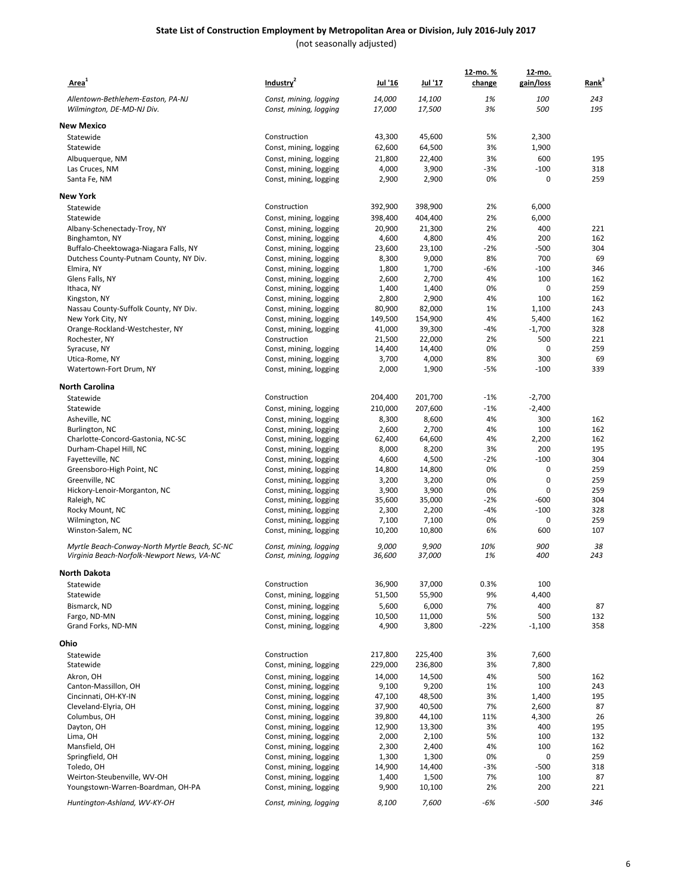| Area <sup>1</sup>                                       | Industry <sup>2</sup>                            | <u>Jul '16</u>   | Jul '17          | 12-mo. %<br>change | 12-mo.<br>gain/loss | Rank <sup>3</sup> |
|---------------------------------------------------------|--------------------------------------------------|------------------|------------------|--------------------|---------------------|-------------------|
| Allentown-Bethlehem-Easton, PA-NJ                       | Const, mining, logging                           | 14,000           | 14,100           | 1%                 | 100                 | 243               |
| Wilmington, DE-MD-NJ Div.                               | Const, mining, logging                           | 17,000           | 17,500           | 3%                 | 500                 | 195               |
|                                                         |                                                  |                  |                  |                    |                     |                   |
| <b>New Mexico</b>                                       | Construction                                     | 43,300           | 45,600           | 5%                 | 2,300               |                   |
| Statewide<br>Statewide                                  | Const, mining, logging                           | 62,600           | 64,500           | 3%                 | 1,900               |                   |
| Albuquerque, NM                                         | Const, mining, logging                           | 21,800           | 22,400           | 3%                 | 600                 | 195               |
| Las Cruces, NM                                          | Const, mining, logging                           | 4,000            | 3,900            | $-3%$              | $-100$              | 318               |
| Santa Fe, NM                                            | Const, mining, logging                           | 2,900            | 2,900            | 0%                 | 0                   | 259               |
|                                                         |                                                  |                  |                  |                    |                     |                   |
| <b>New York</b>                                         |                                                  |                  |                  |                    |                     |                   |
| Statewide                                               | Construction                                     | 392,900          | 398,900          | 2%                 | 6,000               |                   |
| Statewide                                               | Const, mining, logging                           | 398,400          | 404,400          | 2%                 | 6,000               |                   |
| Albany-Schenectady-Troy, NY                             | Const, mining, logging                           | 20,900           | 21,300           | 2%                 | 400                 | 221               |
| Binghamton, NY<br>Buffalo-Cheektowaga-Niagara Falls, NY | Const, mining, logging<br>Const, mining, logging | 4,600<br>23,600  | 4,800<br>23,100  | 4%<br>$-2%$        | 200<br>$-500$       | 162<br>304        |
| Dutchess County-Putnam County, NY Div.                  | Const, mining, logging                           | 8,300            | 9,000            | 8%                 | 700                 | 69                |
| Elmira, NY                                              | Const, mining, logging                           | 1,800            | 1,700            | -6%                | $-100$              | 346               |
| Glens Falls, NY                                         | Const, mining, logging                           | 2,600            | 2,700            | 4%                 | 100                 | 162               |
| Ithaca, NY                                              | Const, mining, logging                           | 1,400            | 1,400            | 0%                 | 0                   | 259               |
| Kingston, NY                                            | Const, mining, logging                           | 2,800            | 2,900            | 4%                 | 100                 | 162               |
| Nassau County-Suffolk County, NY Div.                   | Const, mining, logging                           | 80,900           | 82,000           | 1%                 | 1,100               | 243               |
| New York City, NY                                       | Const, mining, logging                           | 149,500          | 154,900          | 4%                 | 5,400               | 162               |
| Orange-Rockland-Westchester, NY<br>Rochester, NY        | Const, mining, logging                           | 41,000           | 39,300           | $-4%$<br>2%        | $-1,700$<br>500     | 328<br>221        |
| Syracuse, NY                                            | Construction<br>Const, mining, logging           | 21,500<br>14,400 | 22,000<br>14,400 | 0%                 | 0                   | 259               |
| Utica-Rome, NY                                          | Const, mining, logging                           | 3,700            | 4,000            | 8%                 | 300                 | 69                |
| Watertown-Fort Drum, NY                                 | Const, mining, logging                           | 2,000            | 1,900            | $-5%$              | $-100$              | 339               |
|                                                         |                                                  |                  |                  |                    |                     |                   |
| <b>North Carolina</b>                                   |                                                  |                  |                  |                    |                     |                   |
| Statewide                                               | Construction                                     | 204,400          | 201,700          | $-1%$              | $-2,700$            |                   |
| Statewide                                               | Const, mining, logging                           | 210,000          | 207,600          | $-1%$              | $-2,400$            |                   |
| Asheville, NC<br>Burlington, NC                         | Const, mining, logging                           | 8,300<br>2,600   | 8,600<br>2,700   | 4%<br>4%           | 300<br>100          | 162<br>162        |
| Charlotte-Concord-Gastonia, NC-SC                       | Const, mining, logging<br>Const, mining, logging | 62,400           | 64,600           | 4%                 | 2,200               | 162               |
| Durham-Chapel Hill, NC                                  | Const, mining, logging                           | 8,000            | 8,200            | 3%                 | 200                 | 195               |
| Fayetteville, NC                                        | Const, mining, logging                           | 4,600            | 4,500            | -2%                | $-100$              | 304               |
| Greensboro-High Point, NC                               | Const, mining, logging                           | 14,800           | 14,800           | 0%                 | 0                   | 259               |
| Greenville, NC                                          | Const, mining, logging                           | 3,200            | 3,200            | 0%                 | 0                   | 259               |
| Hickory-Lenoir-Morganton, NC                            | Const, mining, logging                           | 3,900            | 3,900            | 0%                 | 0                   | 259               |
| Raleigh, NC                                             | Const, mining, logging                           | 35,600           | 35,000           | $-2%$              | $-600$              | 304               |
| Rocky Mount, NC                                         | Const, mining, logging                           | 2,300            | 2,200            | $-4%$              | $-100$              | 328               |
| Wilmington, NC                                          | Const, mining, logging                           | 7,100            | 7,100            | 0%                 | 0                   | 259<br>107        |
| Winston-Salem, NC                                       | Const, mining, logging                           | 10,200           | 10,800           | 6%                 | 600                 |                   |
| Myrtle Beach-Conway-North Myrtle Beach, SC-NC           | Const, mining, logging                           | 9,000            | 9,900            | 10%                | 900                 | 38                |
| Virginia Beach-Norfolk-Newport News, VA-NC              | Const, mining, logging                           | 36,600           | 37,000           | 1%                 | 400                 | 243               |
| <b>North Dakota</b>                                     |                                                  |                  |                  |                    |                     |                   |
| Statewide                                               | Construction                                     | 36,900           | 37,000           | 0.3%               | 100                 |                   |
| Statewide                                               | Const, mining, logging                           | 51,500           | 55,900           | 9%                 | 4,400               |                   |
| Bismarck, ND                                            | Const, mining, logging                           | 5,600            | 6,000            | 7%                 | 400                 | 87                |
| Fargo, ND-MN                                            | Const, mining, logging                           | 10,500           | 11,000           | 5%                 | 500                 | 132               |
| Grand Forks, ND-MN                                      | Const, mining, logging                           | 4,900            | 3,800            | $-22%$             | $-1,100$            | 358               |
| Ohio                                                    |                                                  |                  |                  |                    |                     |                   |
| Statewide                                               | Construction                                     | 217,800          | 225,400          | 3%                 | 7,600               |                   |
| Statewide                                               | Const, mining, logging                           | 229,000          | 236,800          | 3%                 | 7,800               |                   |
| Akron, OH                                               | Const, mining, logging                           | 14,000           | 14,500           | 4%                 | 500                 | 162               |
| Canton-Massillon, OH                                    | Const, mining, logging                           | 9,100            | 9,200            | 1%                 | 100                 | 243               |
| Cincinnati, OH-KY-IN                                    | Const, mining, logging                           | 47,100           | 48,500           | 3%                 | 1,400               | 195               |
| Cleveland-Elyria, OH                                    | Const, mining, logging                           | 37,900           | 40,500           | 7%                 | 2,600               | 87                |
| Columbus, OH                                            | Const, mining, logging                           | 39,800           | 44,100           | 11%                | 4,300               | 26                |
| Dayton, OH                                              | Const, mining, logging                           | 12,900           | 13,300           | 3%                 | 400                 | 195               |
| Lima, OH                                                | Const, mining, logging                           | 2,000            | 2,100            | 5%                 | 100                 | 132               |
| Mansfield, OH                                           | Const, mining, logging                           | 2,300            | 2,400            | 4%                 | 100                 | 162               |
| Springfield, OH<br>Toledo, OH                           | Const, mining, logging                           | 1,300<br>14,900  | 1,300<br>14,400  | 0%<br>$-3%$        | 0<br>$-500$         | 259<br>318        |
| Weirton-Steubenville, WV-OH                             | Const, mining, logging<br>Const, mining, logging | 1,400            | 1,500            | 7%                 | 100                 | 87                |
| Youngstown-Warren-Boardman, OH-PA                       | Const, mining, logging                           | 9,900            | 10,100           | 2%                 | 200                 | 221               |
|                                                         |                                                  |                  |                  |                    |                     |                   |
| Huntington-Ashland, WV-KY-OH                            | Const, mining, logging                           | 8,100            | 7,600            | -6%                | $-500$              | 346               |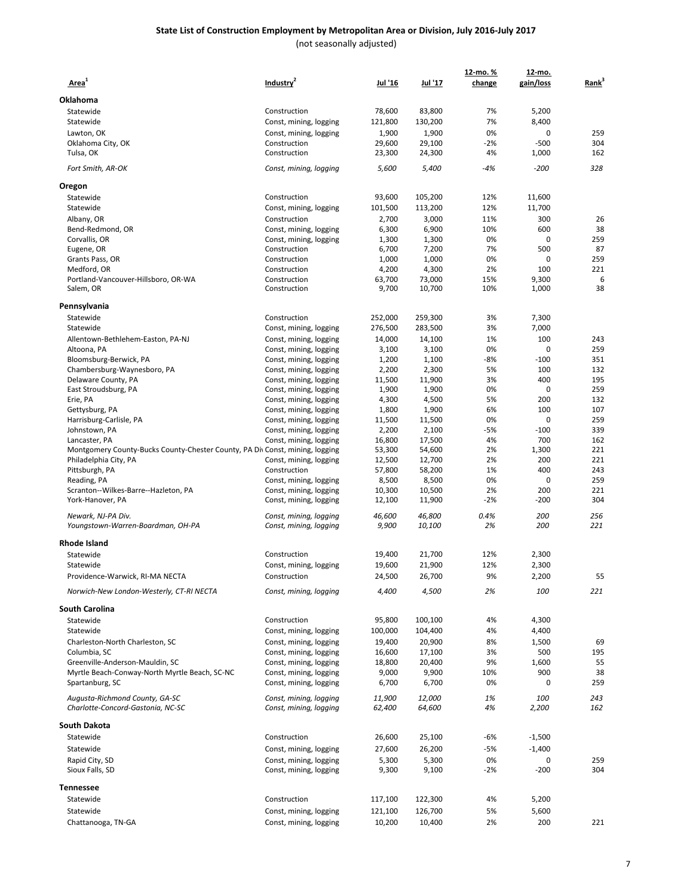| Area <sup>1</sup>                                                            | Industry <sup>2</sup>                            | Jul '16          | Jul '17          | 12-mo. %<br>change | <u>12-mo.</u><br>gain/loss | Rank <sup>3</sup> |
|------------------------------------------------------------------------------|--------------------------------------------------|------------------|------------------|--------------------|----------------------------|-------------------|
| Oklahoma                                                                     |                                                  |                  |                  |                    |                            |                   |
| Statewide                                                                    | Construction                                     | 78,600           | 83,800           | 7%                 | 5,200                      |                   |
| Statewide                                                                    | Const, mining, logging                           | 121,800          | 130,200          | 7%                 | 8,400                      |                   |
|                                                                              |                                                  |                  |                  |                    |                            |                   |
| Lawton, OK                                                                   | Const, mining, logging                           | 1,900            | 1,900            | 0%                 | 0                          | 259               |
| Oklahoma City, OK                                                            | Construction                                     | 29,600           | 29,100           | $-2%$              | $-500$                     | 304               |
| Tulsa, OK                                                                    | Construction                                     | 23,300           | 24,300           | 4%                 | 1,000                      | 162               |
| Fort Smith, AR-OK                                                            | Const, mining, logging                           | 5,600            | 5,400            | $-4%$              | $-200$                     | 328               |
| Oregon                                                                       | Construction                                     | 93,600           |                  | 12%                | 11,600                     |                   |
| Statewide                                                                    |                                                  |                  | 105,200          |                    |                            |                   |
| Statewide                                                                    | Const, mining, logging                           | 101,500          | 113,200          | 12%                | 11,700                     |                   |
| Albany, OR                                                                   | Construction                                     | 2,700            | 3,000            | 11%                | 300                        | 26                |
| Bend-Redmond, OR                                                             | Const, mining, logging                           | 6,300            | 6,900            | 10%                | 600                        | 38                |
| Corvallis, OR                                                                | Const, mining, logging                           | 1,300            | 1,300            | 0%                 | 0                          | 259               |
| Eugene, OR                                                                   | Construction                                     | 6,700            | 7,200            | 7%                 | 500                        | 87                |
| Grants Pass, OR                                                              | Construction                                     | 1,000            | 1,000            | 0%                 | 0                          | 259               |
| Medford, OR                                                                  | Construction                                     | 4,200            | 4,300            | 2%                 | 100                        | 221               |
| Portland-Vancouver-Hillsboro, OR-WA                                          | Construction                                     | 63,700           | 73,000           | 15%                | 9,300                      | 6                 |
| Salem, OR                                                                    | Construction                                     | 9,700            | 10,700           | 10%                | 1,000                      | 38                |
| Pennsylvania                                                                 |                                                  |                  |                  |                    |                            |                   |
| Statewide                                                                    | Construction                                     | 252,000          | 259,300          | 3%                 | 7,300                      |                   |
| Statewide                                                                    | Const, mining, logging                           | 276,500          | 283,500          | 3%                 | 7,000                      |                   |
| Allentown-Bethlehem-Easton, PA-NJ                                            | Const, mining, logging                           | 14,000           | 14,100           | 1%                 | 100                        | 243               |
| Altoona, PA                                                                  | Const, mining, logging                           | 3,100            | 3,100            | 0%                 | 0                          | 259               |
| Bloomsburg-Berwick, PA                                                       | Const, mining, logging                           | 1,200            | 1,100            | $-8%$              | $-100$                     | 351               |
| Chambersburg-Waynesboro, PA                                                  | Const, mining, logging                           | 2,200            | 2,300            | 5%                 | 100                        | 132               |
| Delaware County, PA                                                          | Const, mining, logging                           | 11,500           | 11,900           | 3%                 | 400                        | 195               |
| East Stroudsburg, PA                                                         | Const, mining, logging                           | 1,900            | 1,900            | 0%                 | 0                          | 259               |
| Erie, PA                                                                     | Const, mining, logging                           | 4,300            | 4,500            | 5%                 | 200                        | 132               |
| Gettysburg, PA                                                               | Const, mining, logging                           | 1,800            | 1,900            | 6%                 | 100                        | 107               |
| Harrisburg-Carlisle, PA                                                      | Const, mining, logging                           | 11,500           | 11,500           | 0%                 | 0                          | 259               |
| Johnstown, PA                                                                | Const, mining, logging                           | 2,200            | 2,100            | $-5%$              | $-100$                     | 339               |
| Lancaster, PA                                                                | Const, mining, logging                           | 16,800           | 17,500           | 4%                 | 700                        | 162               |
| Montgomery County-Bucks County-Chester County, PA Div Const, mining, logging |                                                  | 53,300           | 54,600           | 2%                 | 1,300                      | 221               |
| Philadelphia City, PA                                                        | Const, mining, logging                           | 12,500           | 12,700           | 2%                 | 200                        | 221               |
| Pittsburgh, PA                                                               | Construction                                     | 57,800           | 58,200           | 1%                 | 400                        | 243               |
| Reading, PA                                                                  | Const, mining, logging                           | 8,500            | 8,500            | 0%                 | 0                          | 259               |
| Scranton--Wilkes-Barre--Hazleton, PA                                         | Const, mining, logging                           | 10,300           | 10,500           | 2%                 | 200                        | 221               |
| York-Hanover, PA                                                             | Const, mining, logging                           | 12,100           | 11,900           | $-2%$              | $-200$                     | 304               |
| Newark, NJ-PA Div.                                                           | Const, mining, logging                           | 46,600           | 46,800           | 0.4%               | 200                        | 256               |
| Youngstown-Warren-Boardman, OH-PA                                            | Const, mining, logging                           | 9,900            | 10,100           | 2%                 | 200                        | 221               |
| Rhode Island                                                                 |                                                  |                  |                  |                    |                            |                   |
| Statewide                                                                    | Construction                                     | 19,400           | 21,700           | 12%                | 2,300                      |                   |
| Statewide                                                                    | Const, mining, logging                           | 19,600           | 21,900           | 12%                | 2,300                      |                   |
| Providence-Warwick, RI-MA NECTA                                              | Construction                                     | 24,500           | 26,700           | 9%                 | 2,200                      | 55                |
| Norwich-New London-Westerly, CT-RI NECTA                                     | Const, mining, logging                           | 4,400            | 4,500            | 2%                 | 100                        | 221               |
| <b>South Carolina</b>                                                        |                                                  |                  |                  |                    |                            |                   |
| Statewide                                                                    | Construction                                     | 95,800           | 100,100          | 4%                 | 4,300                      |                   |
| Statewide                                                                    | Const, mining, logging                           | 100,000          | 104,400          | 4%                 | 4,400                      |                   |
| Charleston-North Charleston, SC                                              | Const, mining, logging                           | 19,400           | 20,900           | 8%                 | 1,500                      | 69                |
| Columbia, SC                                                                 | Const, mining, logging                           | 16,600           | 17,100           | 3%                 | 500                        | 195               |
| Greenville-Anderson-Mauldin, SC                                              | Const, mining, logging                           | 18,800           | 20,400           | 9%                 | 1,600                      | 55                |
| Myrtle Beach-Conway-North Myrtle Beach, SC-NC                                | Const, mining, logging                           | 9,000            | 9,900            | 10%                | 900                        | 38                |
| Spartanburg, SC                                                              | Const, mining, logging                           | 6,700            | 6,700            | 0%                 | 0                          | 259               |
| Augusta-Richmond County, GA-SC<br>Charlotte-Concord-Gastonia, NC-SC          | Const, mining, logging<br>Const, mining, logging | 11,900<br>62,400 | 12,000<br>64,600 | 1%<br>4%           | 100<br>2,200               | 243<br>162        |
| South Dakota                                                                 |                                                  |                  |                  |                    |                            |                   |
| Statewide                                                                    | Construction                                     | 26,600           | 25,100           | -6%                | $-1,500$                   |                   |
| Statewide                                                                    |                                                  |                  |                  |                    |                            |                   |
|                                                                              | Const, mining, logging                           | 27,600           | 26,200           | -5%                | $-1,400$                   |                   |
| Rapid City, SD<br>Sioux Falls, SD                                            | Const, mining, logging<br>Const, mining, logging | 5,300<br>9,300   | 5,300<br>9,100   | 0%<br>$-2%$        | 0<br>$-200$                | 259<br>304        |
| Tennessee                                                                    |                                                  |                  |                  |                    |                            |                   |
| Statewide                                                                    | Construction                                     | 117,100          | 122,300          | 4%                 | 5,200                      |                   |
| Statewide                                                                    | Const, mining, logging                           | 121,100          | 126,700          | 5%                 | 5,600                      |                   |
| Chattanooga, TN-GA                                                           | Const, mining, logging                           | 10,200           | 10,400           | 2%                 | 200                        | 221               |
|                                                                              |                                                  |                  |                  |                    |                            |                   |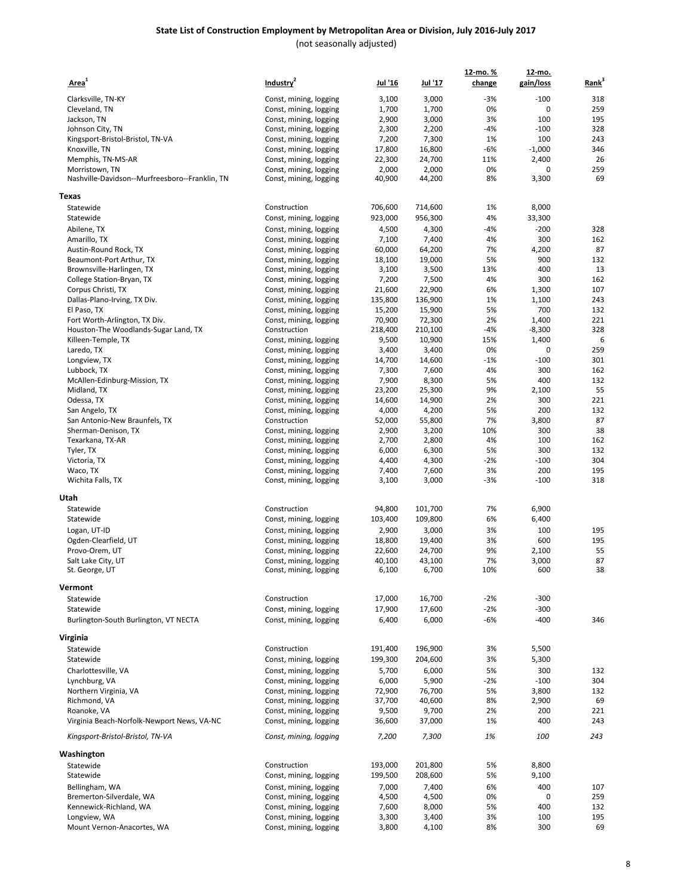| Area <sup>1</sup>                                  | Industry <sup>2</sup>                            | Jul '16         | Jul '17         | 12-mo.%<br>change | <u>12-mo.</u><br>gain/loss | Rank <sup>3</sup> |
|----------------------------------------------------|--------------------------------------------------|-----------------|-----------------|-------------------|----------------------------|-------------------|
| Clarksville, TN-KY                                 |                                                  |                 | 3,000           | $-3%$             | $-100$                     | 318               |
|                                                    | Const, mining, logging                           | 3,100           |                 | 0%                | 0                          | 259               |
| Cleveland, TN                                      | Const, mining, logging                           | 1,700           | 1,700           | 3%                | 100                        | 195               |
| Jackson, TN                                        | Const, mining, logging                           | 2,900           | 3,000<br>2,200  | $-4%$             | $-100$                     | 328               |
| Johnson City, TN                                   | Const, mining, logging                           | 2,300           |                 | 1%                | 100                        | 243               |
| Kingsport-Bristol-Bristol, TN-VA<br>Knoxville, TN  | Const, mining, logging                           | 7,200           | 7,300           | $-6%$             |                            |                   |
|                                                    | Const, mining, logging                           | 17,800          | 16,800          |                   | $-1,000$                   | 346               |
| Memphis, TN-MS-AR                                  | Const, mining, logging                           | 22,300          | 24,700          | 11%               | 2,400                      | 26                |
| Morristown, TN                                     | Const, mining, logging                           | 2,000           | 2,000           | 0%<br>8%          | 0                          | 259<br>69         |
| Nashville-Davidson--Murfreesboro--Franklin, TN     | Const, mining, logging                           | 40,900          | 44,200          |                   | 3,300                      |                   |
| <b>Texas</b>                                       | Construction                                     | 706,600         |                 |                   |                            |                   |
| Statewide                                          |                                                  |                 | 714,600         | 1%                | 8,000                      |                   |
| Statewide                                          | Const, mining, logging                           | 923,000         | 956,300         | 4%                | 33,300                     |                   |
| Abilene, TX                                        | Const, mining, logging                           | 4,500           | 4,300           | $-4%$             | $-200$                     | 328               |
| Amarillo, TX                                       | Const, mining, logging                           | 7,100           | 7,400           | 4%                | 300                        | 162               |
| Austin-Round Rock, TX                              | Const, mining, logging                           | 60,000          | 64,200          | 7%                | 4,200                      | 87                |
| Beaumont-Port Arthur, TX                           | Const, mining, logging                           | 18,100          | 19,000          | 5%                | 900                        | 132               |
| Brownsville-Harlingen, TX                          | Const, mining, logging                           | 3,100           | 3,500           | 13%               | 400                        | 13                |
| College Station-Bryan, TX                          | Const, mining, logging                           | 7,200           | 7,500           | 4%                | 300                        | 162               |
| Corpus Christi, TX                                 | Const, mining, logging                           | 21,600          | 22,900          | 6%                | 1,300                      | 107               |
| Dallas-Plano-Irving, TX Div.                       | Const, mining, logging                           | 135,800         | 136,900         | 1%                | 1,100                      | 243               |
| El Paso, TX                                        | Const, mining, logging                           | 15,200          | 15,900          | 5%                | 700                        | 132               |
| Fort Worth-Arlington, TX Div.                      | Const, mining, logging                           | 70,900          | 72,300          | 2%                | 1,400                      | 221               |
| Houston-The Woodlands-Sugar Land, TX               | Construction                                     | 218,400         | 210,100         | $-4%$             | $-8,300$                   | 328               |
| Killeen-Temple, TX                                 | Const, mining, logging                           | 9,500           | 10,900          | 15%               | 1,400                      | 6                 |
| Laredo, TX                                         | Const, mining, logging                           | 3,400           | 3,400           | 0%                | 0                          | 259               |
| Longview, TX                                       | Const, mining, logging                           | 14,700          | 14,600          | $-1%$             | $-100$                     | 301               |
| Lubbock, TX                                        | Const, mining, logging                           | 7,300           | 7,600           | 4%                | 300                        | 162               |
| McAllen-Edinburg-Mission, TX                       | Const, mining, logging                           | 7,900           | 8,300           | 5%                | 400                        | 132               |
| Midland, TX                                        | Const, mining, logging                           | 23,200          | 25,300          | 9%                | 2,100                      | 55                |
| Odessa, TX                                         | Const, mining, logging                           | 14,600          | 14,900          | 2%                | 300                        | 221               |
| San Angelo, TX                                     | Const, mining, logging                           | 4,000           | 4,200           | 5%                | 200                        | 132               |
| San Antonio-New Braunfels, TX                      | Construction                                     | 52,000          | 55,800          | 7%                | 3,800                      | 87                |
| Sherman-Denison, TX                                | Const, mining, logging                           | 2,900           | 3,200           | 10%               | 300                        | 38                |
| Texarkana, TX-AR                                   | Const, mining, logging                           | 2,700           | 2,800           | 4%                | 100                        | 162               |
| Tyler, TX                                          | Const, mining, logging                           | 6,000           | 6,300           | 5%                | 300                        | 132               |
| Victoria, TX                                       | Const, mining, logging                           | 4,400           | 4,300           | $-2%$             | $-100$                     | 304               |
| Waco, TX                                           | Const, mining, logging                           | 7,400           | 7,600           | 3%                | 200                        | 195               |
| Wichita Falls, TX                                  | Const, mining, logging                           | 3,100           | 3,000           | $-3%$             | $-100$                     | 318               |
| Utah                                               |                                                  |                 |                 |                   |                            |                   |
| Statewide                                          | Construction                                     | 94,800          | 101,700         | 7%                | 6,900                      |                   |
| Statewide                                          | Const, mining, logging                           | 103,400         | 109,800         | 6%                | 6,400                      |                   |
| Logan, UT-ID                                       | Const, mining, logging                           | 2,900           | 3,000           | 3%                | 100                        | 195               |
| Ogden-Clearfield, UT                               | Const, mining, logging                           | 18,800          | 19,400          | 3%                | 600                        | 195               |
| Provo-Orem, UT                                     | Const, mining, logging                           | 22,600          | 24,700          | 9%                | 2,100                      | 55                |
| Salt Lake City, UT                                 | Const, mining, logging                           | 40,100          | 43,100          | 7%                | 3,000                      | 87                |
| St. George, UT                                     | Const, mining, logging                           | 6,100           | 6,700           | 10%               | 600                        | 38                |
| Vermont                                            |                                                  |                 |                 |                   |                            |                   |
| Statewide                                          | Construction                                     | 17,000          | 16,700          | $-2%$             | $-300$                     |                   |
|                                                    |                                                  |                 |                 |                   |                            |                   |
| Statewide<br>Burlington-South Burlington, VT NECTA | Const, mining, logging<br>Const, mining, logging | 17,900<br>6,400 | 17,600<br>6,000 | $-2%$<br>$-6%$    | $-300$<br>$-400$           | 346               |
|                                                    |                                                  |                 |                 |                   |                            |                   |
| Virginia                                           |                                                  |                 |                 |                   |                            |                   |
| Statewide                                          | Construction                                     | 191,400         | 196,900         | 3%                | 5,500                      |                   |
| Statewide                                          | Const, mining, logging                           | 199,300         | 204,600         | 3%                | 5,300                      |                   |
| Charlottesville, VA                                | Const, mining, logging                           | 5,700           | 6,000           | 5%                | 300                        | 132               |
| Lynchburg, VA                                      | Const, mining, logging                           | 6,000           | 5,900           | $-2%$             | $-100$                     | 304               |
| Northern Virginia, VA                              | Const, mining, logging                           | 72,900          | 76,700          | 5%                | 3,800                      | 132               |
| Richmond, VA                                       | Const, mining, logging                           | 37,700          | 40,600          | 8%                | 2,900                      | 69                |
| Roanoke, VA                                        | Const, mining, logging                           | 9,500           | 9,700           | 2%                | 200                        | 221               |
| Virginia Beach-Norfolk-Newport News, VA-NC         | Const, mining, logging                           | 36,600          | 37,000          | 1%                | 400                        | 243               |
| Kingsport-Bristol-Bristol, TN-VA                   | Const, mining, logging                           | 7,200           | 7,300           | 1%                | 100                        | 243               |
| Washington                                         |                                                  |                 |                 |                   |                            |                   |
| Statewide                                          | Construction                                     | 193,000         | 201,800         | 5%                | 8,800                      |                   |
| Statewide                                          | Const, mining, logging                           | 199,500         | 208,600         | 5%                | 9,100                      |                   |
| Bellingham, WA                                     | Const, mining, logging                           | 7,000           | 7,400           | 6%                | 400                        | 107               |
| Bremerton-Silverdale, WA                           | Const, mining, logging                           | 4,500           | 4,500           | 0%                | 0                          | 259               |
| Kennewick-Richland, WA                             | Const, mining, logging                           | 7,600           | 8,000           | 5%                | 400                        | 132               |
| Longview, WA                                       | Const, mining, logging                           | 3,300           | 3,400           | 3%                | 100                        | 195               |
| Mount Vernon-Anacortes, WA                         | Const, mining, logging                           | 3,800           | 4,100           | 8%                | 300                        | 69                |
|                                                    |                                                  |                 |                 |                   |                            |                   |